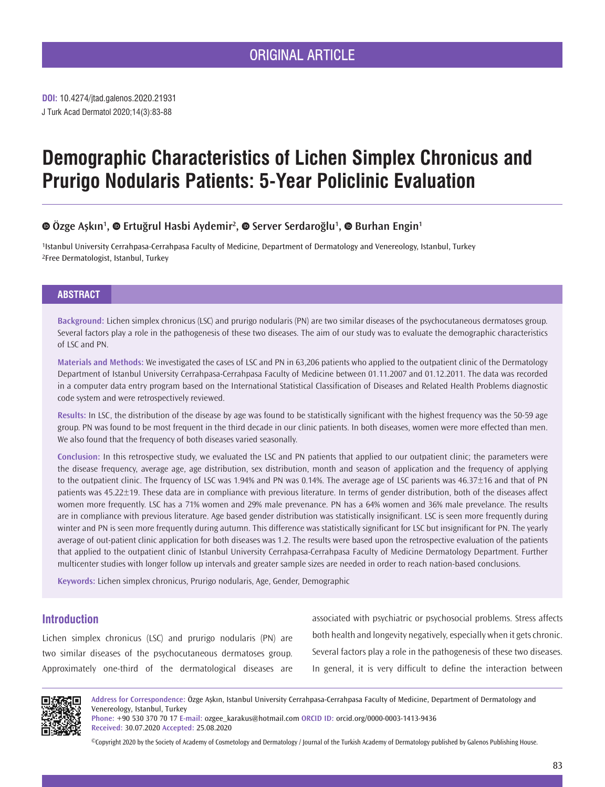J Turk Acad Dermatol 2020;14(3):83-88 **DOI:** 10.4274/jtad.galenos.2020.21931

# **Demographic Characteristics of Lichen Simplex Chronicus and Prurigo Nodularis Patients: 5-Year Policlinic Evaluation**

# **Özge Aşkın<sup>1</sup> , Ertuğrul Hasbi Aydemir<sup>2</sup> , Server Serdaroğlu<sup>1</sup> , Burhan Engin1**

1Istanbul University Cerrahpasa-Cerrahpasa Faculty of Medicine, Department of Dermatology and Venereology, Istanbul, Turkey 2Free Dermatologist, Istanbul, Turkey

## **ABSTRACT**

**Background:** Lichen simplex chronicus (LSC) and prurigo nodularis (PN) are two similar diseases of the psychocutaneous dermatoses group. Several factors play a role in the pathogenesis of these two diseases. The aim of our study was to evaluate the demographic characteristics of LSC and PN.

**Materials and Methods:** We investigated the cases of LSC and PN in 63,206 patients who applied to the outpatient clinic of the Dermatology Department of Istanbul University Cerrahpasa-Cerrahpasa Faculty of Medicine between 01.11.2007 and 01.12.2011. The data was recorded in a computer data entry program based on the International Statistical Classification of Diseases and Related Health Problems diagnostic code system and were retrospectively reviewed.

**Results:** In LSC, the distribution of the disease by age was found to be statistically significant with the highest frequency was the 50-59 age group. PN was found to be most frequent in the third decade in our clinic patients. In both diseases, women were more effected than men. We also found that the frequency of both diseases varied seasonally.

**Conclusion:** In this retrospective study, we evaluated the LSC and PN patients that applied to our outpatient clinic; the parameters were the disease frequency, average age, age distribution, sex distribution, month and season of application and the frequency of applying to the outpatient clinic. The frquency of LSC was 1.94% and PN was 0.14%. The average age of LSC parients was 46.37±16 and that of PN patients was 45.22±19. These data are in compliance with previous literature. In terms of gender distribution, both of the diseases affect women more frequently. LSC has a 71% women and 29% male prevenance. PN has a 64% women and 36% male prevelance. The results are in compliance with previous literature. Age based gender distribution was statistically insignificant. LSC is seen more frequently during winter and PN is seen more frequently during autumn. This difference was statistically significant for LSC but insignificant for PN. The yearly average of out-patient clinic application for both diseases was 1.2. The results were based upon the retrospective evaluation of the patients that applied to the outpatient clinic of Istanbul University Cerrahpasa-Cerrahpasa Faculty of Medicine Dermatology Department. Further multicenter studies with longer follow up intervals and greater sample sizes are needed in order to reach nation-based conclusions.

**Keywords:** Lichen simplex chronicus, Prurigo nodularis, Age, Gender, Demographic

# **Introduction**

Lichen simplex chronicus (LSC) and prurigo nodularis (PN) are two similar diseases of the psychocutaneous dermatoses group. Approximately one-third of the dermatological diseases are

associated with psychiatric or psychosocial problems. Stress affects both health and longevity negatively, especially when it gets chronic. Several factors play a role in the pathogenesis of these two diseases. In general, it is very difficult to define the interaction between



**Address for Correspondence:** Özge Aşkın, Istanbul University Cerrahpasa-Cerrahpasa Faculty of Medicine, Department of Dermatology and Venereology, Istanbul, Turkey

**Phone:** +90 530 370 70 17 **E-mail:** ozgee\_karakus@hotmail.com **ORCID ID:** orcid.org/0000-0003-1413-9436 **Received:** 30.07.2020 **Accepted:** 25.08.2020

©Copyright 2020 by the Society of Academy of Cosmetology and Dermatology / Journal of the Turkish Academy of Dermatology published by Galenos Publishing House.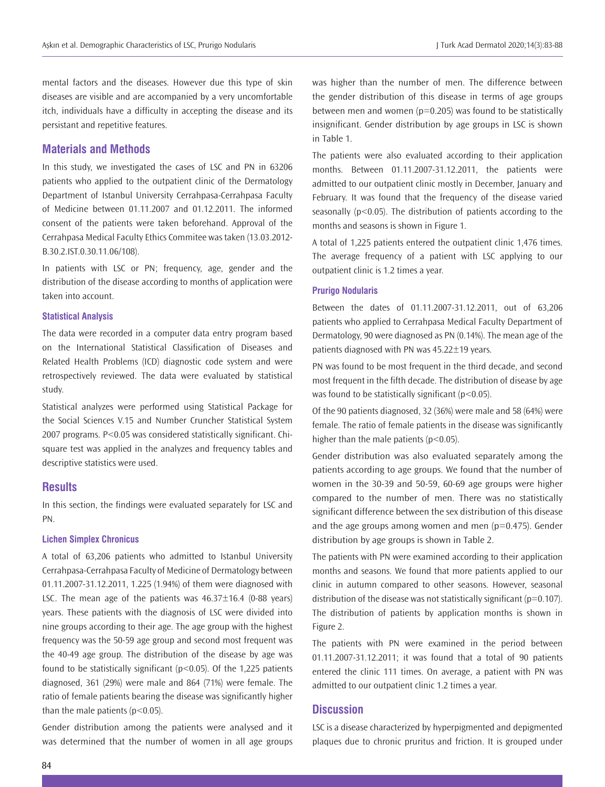mental factors and the diseases. However due this type of skin diseases are visible and are accompanied by a very uncomfortable itch, individuals have a difficulty in accepting the disease and its persistant and repetitive features.

## **Materials and Methods**

In this study, we investigated the cases of LSC and PN in 63206 patients who applied to the outpatient clinic of the Dermatology Department of Istanbul University Cerrahpasa-Cerrahpasa Faculty of Medicine between 01.11.2007 and 01.12.2011. The informed consent of the patients were taken beforehand. Approval of the Cerrahpasa Medical Faculty Ethics Commitee was taken (13.03.2012- B.30.2.IST.0.30.11.06/108).

In patients with LSC or PN; frequency, age, gender and the distribution of the disease according to months of application were taken into account.

#### **Statistical Analysis**

The data were recorded in a computer data entry program based on the International Statistical Classification of Diseases and Related Health Problems (ICD) diagnostic code system and were retrospectively reviewed. The data were evaluated by statistical study.

Statistical analyzes were performed using Statistical Package for the Social Sciences V.15 and Number Cruncher Statistical System 2007 programs. P<0.05 was considered statistically significant. Chisquare test was applied in the analyzes and frequency tables and descriptive statistics were used.

# **Results**

In this section, the findings were evaluated separately for LSC and PN.

#### **Lichen Simplex Chronicus**

A total of 63,206 patients who admitted to Istanbul University Cerrahpasa-Cerrahpasa Faculty of Medicine of Dermatology between 01.11.2007-31.12.2011, 1.225 (1.94%) of them were diagnosed with LSC. The mean age of the patients was  $46.37 \pm 16.4$  (0-88 years) years. These patients with the diagnosis of LSC were divided into nine groups according to their age. The age group with the highest frequency was the 50-59 age group and second most frequent was the 40-49 age group. The distribution of the disease by age was found to be statistically significant  $(p<0.05)$ . Of the 1,225 patients diagnosed, 361 (29%) were male and 864 (71%) were female. The ratio of female patients bearing the disease was significantly higher than the male patients ( $p$ <0.05).

Gender distribution among the patients were analysed and it was determined that the number of women in all age groups

was higher than the number of men. The difference between the gender distribution of this disease in terms of age groups between men and women ( $p=0.205$ ) was found to be statistically insignificant. Gender distribution by age groups in LSC is shown in Table 1.

The patients were also evaluated according to their application months. Between 01.11.2007-31.12.2011, the patients were admitted to our outpatient clinic mostly in December, January and February. It was found that the frequency of the disease varied seasonally (p<0.05). The distribution of patients according to the months and seasons is shown in Figure 1.

A total of 1,225 patients entered the outpatient clinic 1,476 times. The average frequency of a patient with LSC applying to our outpatient clinic is 1.2 times a year.

#### **Prurigo Nodularis**

Between the dates of 01.11.2007-31.12.2011, out of 63,206 patients who applied to Cerrahpasa Medical Faculty Department of Dermatology, 90 were diagnosed as PN (0.14%). The mean age of the patients diagnosed with PN was 45.22±19 years.

PN was found to be most frequent in the third decade, and second most frequent in the fifth decade. The distribution of disease by age was found to be statistically significant ( $p$ <0.05).

Of the 90 patients diagnosed, 32 (36%) were male and 58 (64%) were female. The ratio of female patients in the disease was significantly higher than the male patients ( $p$ <0.05).

Gender distribution was also evaluated separately among the patients according to age groups. We found that the number of women in the 30-39 and 50-59, 60-69 age groups were higher compared to the number of men. There was no statistically significant difference between the sex distribution of this disease and the age groups among women and men  $(p=0.475)$ . Gender distribution by age groups is shown in Table 2.

The patients with PN were examined according to their application months and seasons. We found that more patients applied to our clinic in autumn compared to other seasons. However, seasonal distribution of the disease was not statistically significant ( $p=0.107$ ). The distribution of patients by application months is shown in Figure 2.

The patients with PN were examined in the period between 01.11.2007-31.12.2011; it was found that a total of 90 patients entered the clinic 111 times. On average, a patient with PN was admitted to our outpatient clinic 1.2 times a year.

# **Discussion**

LSC is a disease characterized by hyperpigmented and depigmented plaques due to chronic pruritus and friction. It is grouped under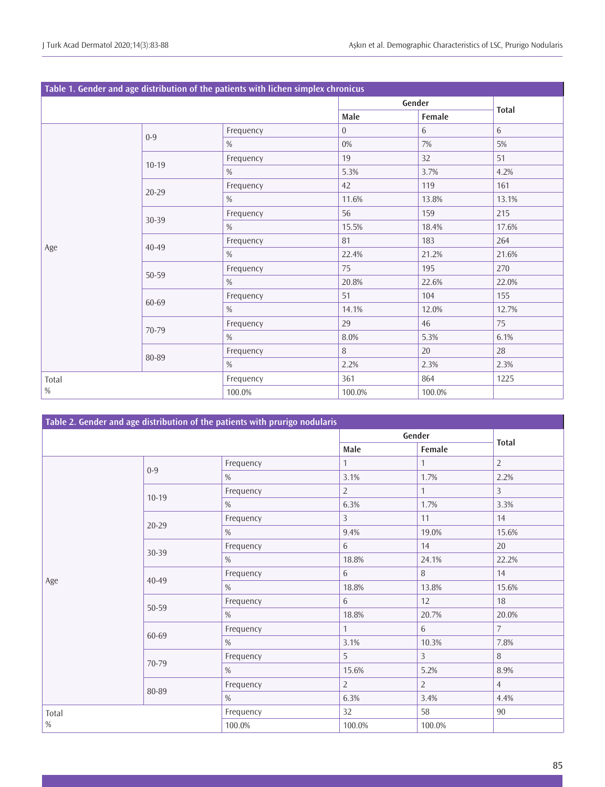| Table 1. Gender and age distribution of the patients with lichen simplex chronicus |           |           |          |        |              |  |  |  |  |
|------------------------------------------------------------------------------------|-----------|-----------|----------|--------|--------------|--|--|--|--|
|                                                                                    |           |           | Gender   |        | <b>Total</b> |  |  |  |  |
|                                                                                    |           |           | Male     | Female |              |  |  |  |  |
| Age                                                                                | $0-9$     | Frequency | $\Omega$ | 6      | 6            |  |  |  |  |
|                                                                                    |           | $\%$      | 0%       | 7%     | 5%           |  |  |  |  |
|                                                                                    | $10-19$   | Frequency | 19       | 32     | 51           |  |  |  |  |
|                                                                                    |           | %         | 5.3%     | 3.7%   | 4.2%         |  |  |  |  |
|                                                                                    |           | Frequency | 42       | 119    | 161          |  |  |  |  |
|                                                                                    | $20 - 29$ | $\%$      | 11.6%    | 13.8%  | 13.1%        |  |  |  |  |
|                                                                                    |           | Frequency | 56       | 159    | 215          |  |  |  |  |
|                                                                                    | 30-39     | %         | 15.5%    | 18.4%  | 17.6%        |  |  |  |  |
|                                                                                    | 40-49     | Frequency | 81       | 183    | 264          |  |  |  |  |
|                                                                                    |           | $\%$      | 22.4%    | 21.2%  | 21.6%        |  |  |  |  |
|                                                                                    | 50-59     | Frequency | 75       | 195    | 270          |  |  |  |  |
|                                                                                    |           | $\%$      | 20.8%    | 22.6%  | 22.0%        |  |  |  |  |
|                                                                                    | 60-69     | Frequency | 51       | 104    | 155          |  |  |  |  |
|                                                                                    |           | $\%$      | 14.1%    | 12.0%  | 12.7%        |  |  |  |  |
|                                                                                    | 70-79     | Frequency | 29       | 46     | 75           |  |  |  |  |
|                                                                                    |           | %         | 8.0%     | 5.3%   | 6.1%         |  |  |  |  |
|                                                                                    |           | Frequency | 8        | 20     | 28           |  |  |  |  |
|                                                                                    | 80-89     | $\%$      | 2.2%     | 2.3%   | 2.3%         |  |  |  |  |
| Total<br>%                                                                         |           | Frequency | 361      | 864    | 1225         |  |  |  |  |
|                                                                                    |           | 100.0%    | 100.0%   | 100.0% |              |  |  |  |  |

| Table 2. Gender and age distribution of the patients with prurigo nodularis |           |               |                |                |                |  |  |  |  |  |
|-----------------------------------------------------------------------------|-----------|---------------|----------------|----------------|----------------|--|--|--|--|--|
|                                                                             |           |               | Gender         |                | <b>Total</b>   |  |  |  |  |  |
|                                                                             |           |               | Male           |                |                |  |  |  |  |  |
|                                                                             | $0 - 9$   | Frequency     | $\mathbf{1}$   | $\mathbf{1}$   | $\overline{2}$ |  |  |  |  |  |
|                                                                             |           | $\%$          | 3.1%           | 1.7%           | 2.2%           |  |  |  |  |  |
|                                                                             | $10-19$   | Frequency     | $\overline{2}$ | $\mathbf{1}$   | $\overline{3}$ |  |  |  |  |  |
|                                                                             |           | $\%$          | 6.3%           | 1.7%           | 3.3%           |  |  |  |  |  |
|                                                                             | $20 - 29$ | Frequency     | $\mathcal{E}$  | 11             | 14             |  |  |  |  |  |
|                                                                             |           | $\%$          | 9.4%           | 19.0%          | 15.6%          |  |  |  |  |  |
|                                                                             | 30-39     | Frequency     | 6              | 14             | 20             |  |  |  |  |  |
|                                                                             |           | $\%$          | 18.8%          | 24.1%          | 22.2%          |  |  |  |  |  |
|                                                                             | 40-49     | Frequency     | 6              | 8              | 14             |  |  |  |  |  |
| Age                                                                         |           | $\%$          | 18.8%          | 13.8%          | 15.6%          |  |  |  |  |  |
|                                                                             | 50-59     | Frequency     | 6              | 12             | 18             |  |  |  |  |  |
|                                                                             |           | $\frac{0}{0}$ | 18.8%          | 20.7%          | 20.0%          |  |  |  |  |  |
|                                                                             | 60-69     | Frequency     | $\mathbf{1}$   | $6\phantom{a}$ | $7^{\circ}$    |  |  |  |  |  |
|                                                                             |           | $\%$          | 3.1%           | 10.3%          | 7.8%           |  |  |  |  |  |
|                                                                             | 70-79     | Frequency     | 5              | $\overline{3}$ | 8              |  |  |  |  |  |
|                                                                             |           | $\%$          | 15.6%          | 5.2%           | 8.9%           |  |  |  |  |  |
|                                                                             | 80-89     | Frequency     | $\overline{2}$ | $\overline{2}$ | $\overline{4}$ |  |  |  |  |  |
|                                                                             |           | $\%$          | 6.3%           | 3.4%           | 4.4%           |  |  |  |  |  |
| Total<br>$\%$                                                               |           | Frequency     | 32             | 58             | 90             |  |  |  |  |  |
|                                                                             |           | 100.0%        | 100.0%         | 100.0%         |                |  |  |  |  |  |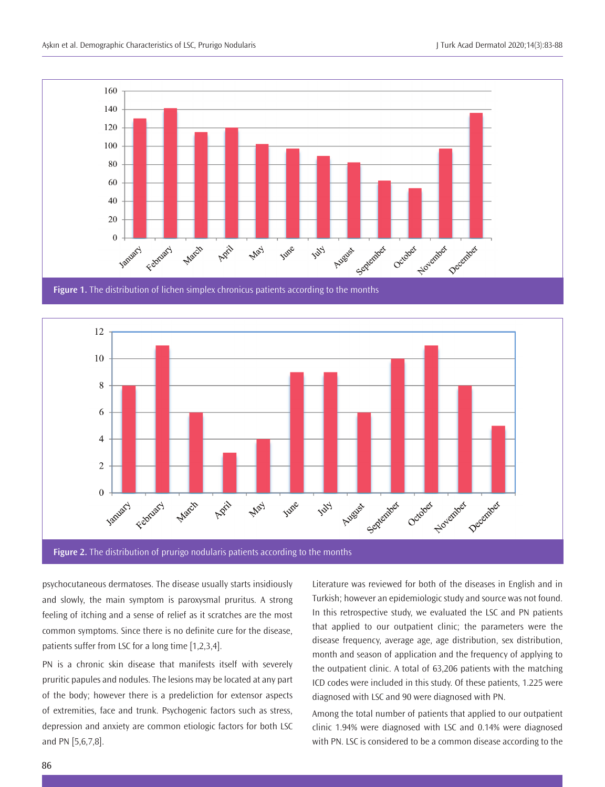

**Figure 1.** The distribution of lichen simplex chronicus patients according to the months



psychocutaneous dermatoses. The disease usually starts insidiously and slowly, the main symptom is paroxysmal pruritus. A strong feeling of itching and a sense of relief as it scratches are the most common symptoms. Since there is no definite cure for the disease, patients suffer from LSC for a long time [1,2,3,4].

PN is a chronic skin disease that manifests itself with severely pruritic papules and nodules. The lesions may be located at any part of the body; however there is a predeliction for extensor aspects of extremities, face and trunk. Psychogenic factors such as stress, depression and anxiety are common etiologic factors for both LSC and PN [5,6,7,8].

Literature was reviewed for both of the diseases in English and in Turkish; however an epidemiologic study and source was not found. In this retrospective study, we evaluated the LSC and PN patients that applied to our outpatient clinic; the parameters were the disease frequency, average age, age distribution, sex distribution, month and season of application and the frequency of applying to the outpatient clinic. A total of 63,206 patients with the matching ICD codes were included in this study. Of these patients, 1.225 were diagnosed with LSC and 90 were diagnosed with PN.

Among the total number of patients that applied to our outpatient clinic 1.94% were diagnosed with LSC and 0.14% were diagnosed with PN. LSC is considered to be a common disease according to the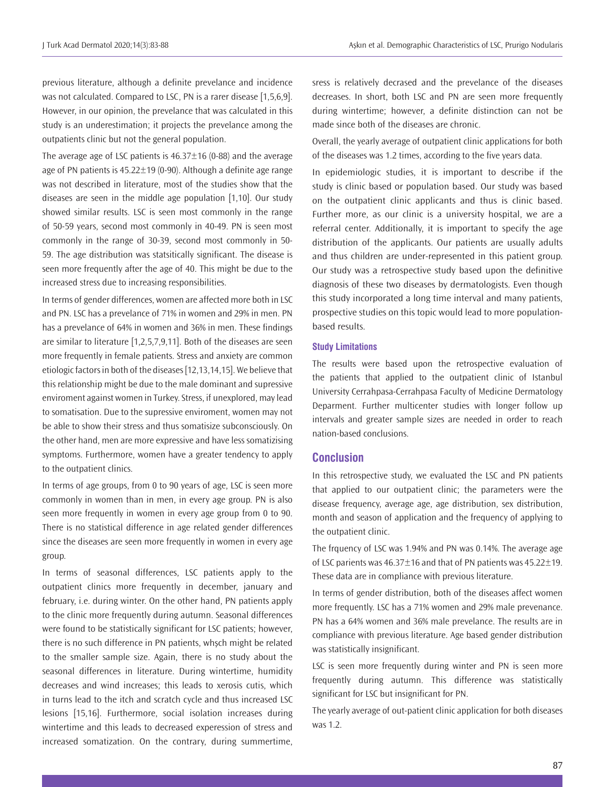previous literature, although a definite prevelance and incidence was not calculated. Compared to LSC, PN is a rarer disease [1,5,6,9]. However, in our opinion, the prevelance that was calculated in this study is an underestimation; it projects the prevelance among the outpatients clinic but not the general population.

The average age of LSC patients is  $46.37 \pm 16$  (0-88) and the average age of PN patients is  $45.22 \pm 19$  (0-90). Although a definite age range was not described in literature, most of the studies show that the diseases are seen in the middle age population [1,10]. Our study showed similar results. LSC is seen most commonly in the range of 50-59 years, second most commonly in 40-49. PN is seen most commonly in the range of 30-39, second most commonly in 50- 59. The age distribution was statsitically significant. The disease is seen more frequently after the age of 40. This might be due to the increased stress due to increasing responsibilities.

In terms of gender differences, women are affected more both in LSC and PN. LSC has a prevelance of 71% in women and 29% in men. PN has a prevelance of 64% in women and 36% in men. These findings are similar to literature [1,2,5,7,9,11]. Both of the diseases are seen more frequently in female patients. Stress and anxiety are common etiologic factors in both of the diseases [12,13,14,15]. We believe that this relationship might be due to the male dominant and supressive enviroment against women in Turkey. Stress, if unexplored, may lead to somatisation. Due to the supressive enviroment, women may not be able to show their stress and thus somatisize subconsciously. On the other hand, men are more expressive and have less somatizising symptoms. Furthermore, women have a greater tendency to apply to the outpatient clinics.

In terms of age groups, from 0 to 90 years of age, LSC is seen more commonly in women than in men, in every age group. PN is also seen more frequently in women in every age group from 0 to 90. There is no statistical difference in age related gender differences since the diseases are seen more frequently in women in every age group.

In terms of seasonal differences, LSC patients apply to the outpatient clinics more frequently in december, january and february, i.e. during winter. On the other hand, PN patients apply to the clinic more frequently during autumn. Seasonal differences were found to be statistically significant for LSC patients; however, there is no such difference in PN patients, whşch might be related to the smaller sample size. Again, there is no study about the seasonal differences in literature. During wintertime, humidity decreases and wind increases; this leads to xerosis cutis, which in turns lead to the itch and scratch cycle and thus increased LSC lesions [15,16]. Furthermore, social isolation increases during wintertime and this leads to decreased experession of stress and increased somatization. On the contrary, during summertime,

sress is relatively decrased and the prevelance of the diseases decreases. In short, both LSC and PN are seen more frequently during wintertime; however, a definite distinction can not be made since both of the diseases are chronic.

Overall, the yearly average of outpatient clinic applications for both of the diseases was 1.2 times, according to the five years data.

In epidemiologic studies, it is important to describe if the study is clinic based or population based. Our study was based on the outpatient clinic applicants and thus is clinic based. Further more, as our clinic is a university hospital, we are a referral center. Additionally, it is important to specify the age distribution of the applicants. Our patients are usually adults and thus children are under-represented in this patient group. Our study was a retrospective study based upon the definitive diagnosis of these two diseases by dermatologists. Even though this study incorporated a long time interval and many patients, prospective studies on this topic would lead to more populationbased results.

## **Study Limitations**

The results were based upon the retrospective evaluation of the patients that applied to the outpatient clinic of Istanbul University Cerrahpasa-Cerrahpasa Faculty of Medicine Dermatology Deparment. Further multicenter studies with longer follow up intervals and greater sample sizes are needed in order to reach nation-based conclusions.

# **Conclusion**

In this retrospective study, we evaluated the LSC and PN patients that applied to our outpatient clinic; the parameters were the disease frequency, average age, age distribution, sex distribution, month and season of application and the frequency of applying to the outpatient clinic.

The frquency of LSC was 1.94% and PN was 0.14%. The average age of LSC parients was 46.37±16 and that of PN patients was 45.22±19. These data are in compliance with previous literature.

In terms of gender distribution, both of the diseases affect women more frequently. LSC has a 71% women and 29% male prevenance. PN has a 64% women and 36% male prevelance. The results are in compliance with previous literature. Age based gender distribution was statistically insignificant.

LSC is seen more frequently during winter and PN is seen more frequently during autumn. This difference was statistically significant for LSC but insignificant for PN.

The yearly average of out-patient clinic application for both diseases was 1.2.